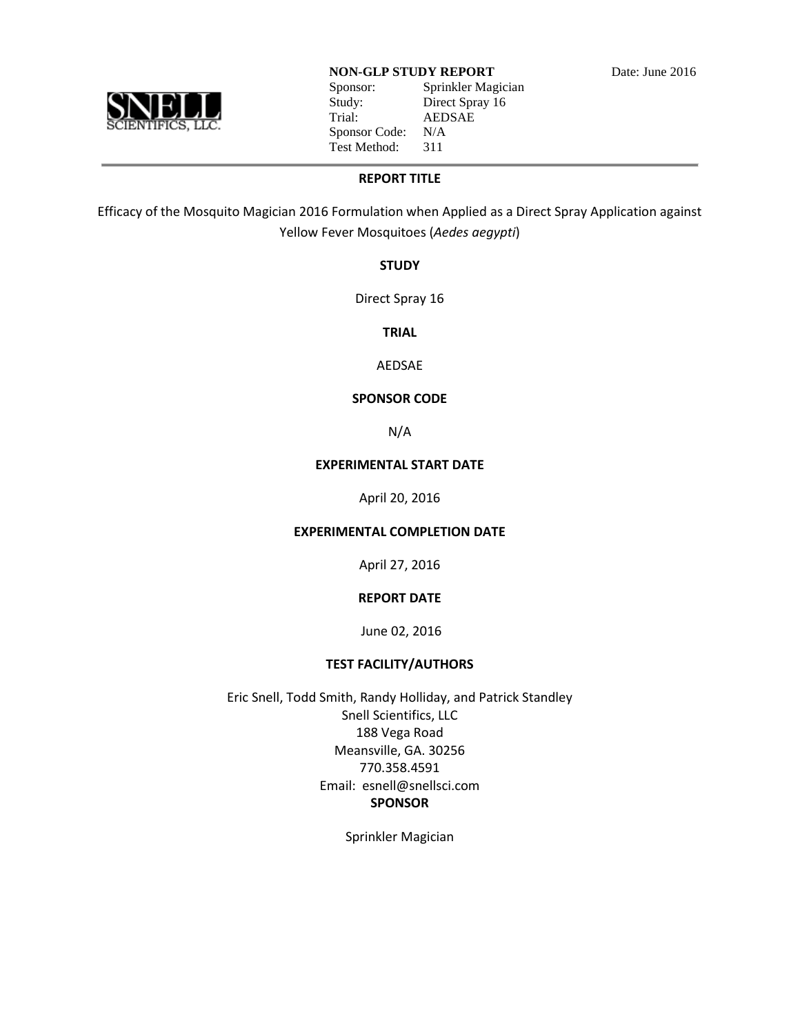

Sponsor: Sprinkler Magician Study: Direct Spray 16 Trial: AEDSAE Sponsor Code: N/A Test Method: 311

**REPORT TITLE**

Efficacy of the Mosquito Magician 2016 Formulation when Applied as a Direct Spray Application against Yellow Fever Mosquitoes (*Aedes aegypti*)

**STUDY**

Direct Spray 16

**TRIAL**

AEDSAE

## **SPONSOR CODE**

N/A

## **EXPERIMENTAL START DATE**

April 20, 2016

## **EXPERIMENTAL COMPLETION DATE**

April 27, 2016

## **REPORT DATE**

June 02, 2016

# **TEST FACILITY/AUTHORS**

Eric Snell, Todd Smith, Randy Holliday, and Patrick Standley Snell Scientifics, LLC 188 Vega Road Meansville, GA. 30256 770.358.4591 Email: esnell@snellsci.com **SPONSOR**

Sprinkler Magician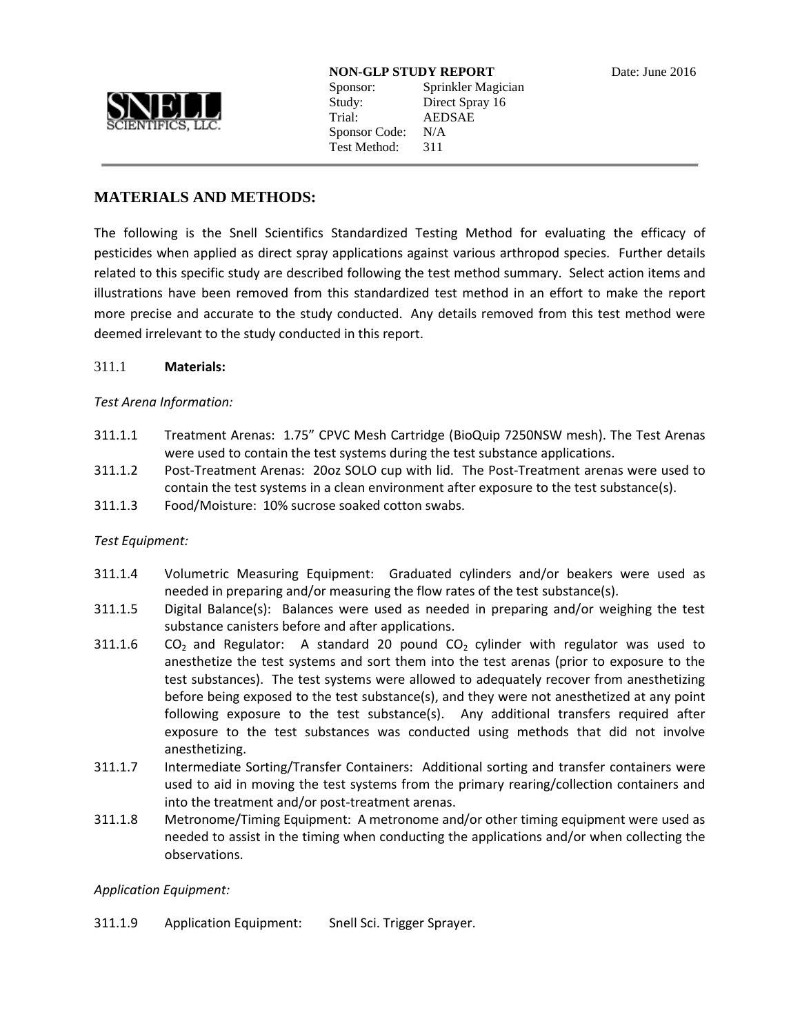

**NON-GLP STUDY REPORT** Date: June 2016 Sponsor: Sprinkler Magician

Study: Direct Spray 16 Trial: AEDSAE Sponsor Code: N/A Test Method: 311

## **MATERIALS AND METHODS:**

The following is the Snell Scientifics Standardized Testing Method for evaluating the efficacy of pesticides when applied as direct spray applications against various arthropod species. Further details related to this specific study are described following the test method summary. Select action items and illustrations have been removed from this standardized test method in an effort to make the report more precise and accurate to the study conducted. Any details removed from this test method were deemed irrelevant to the study conducted in this report.

## 311.1 **Materials:**

## *Test Arena Information:*

- 311.1.1 Treatment Arenas: 1.75" CPVC Mesh Cartridge (BioQuip 7250NSW mesh). The Test Arenas were used to contain the test systems during the test substance applications.
- 311.1.2 Post-Treatment Arenas: 20oz SOLO cup with lid. The Post-Treatment arenas were used to contain the test systems in a clean environment after exposure to the test substance(s).
- 311.1.3 Food/Moisture: 10% sucrose soaked cotton swabs.

## *Test Equipment:*

- 311.1.4 Volumetric Measuring Equipment: Graduated cylinders and/or beakers were used as needed in preparing and/or measuring the flow rates of the test substance(s).
- 311.1.5 Digital Balance(s): Balances were used as needed in preparing and/or weighing the test substance canisters before and after applications.
- 311.1.6  $CO<sub>2</sub>$  and Regulator: A standard 20 pound  $CO<sub>2</sub>$  cylinder with regulator was used to anesthetize the test systems and sort them into the test arenas (prior to exposure to the test substances). The test systems were allowed to adequately recover from anesthetizing before being exposed to the test substance(s), and they were not anesthetized at any point following exposure to the test substance(s). Any additional transfers required after exposure to the test substances was conducted using methods that did not involve anesthetizing.
- 311.1.7 Intermediate Sorting/Transfer Containers: Additional sorting and transfer containers were used to aid in moving the test systems from the primary rearing/collection containers and into the treatment and/or post-treatment arenas.
- 311.1.8 Metronome/Timing Equipment: A metronome and/or other timing equipment were used as needed to assist in the timing when conducting the applications and/or when collecting the observations.

## *Application Equipment:*

311.1.9 Application Equipment: Snell Sci. Trigger Sprayer.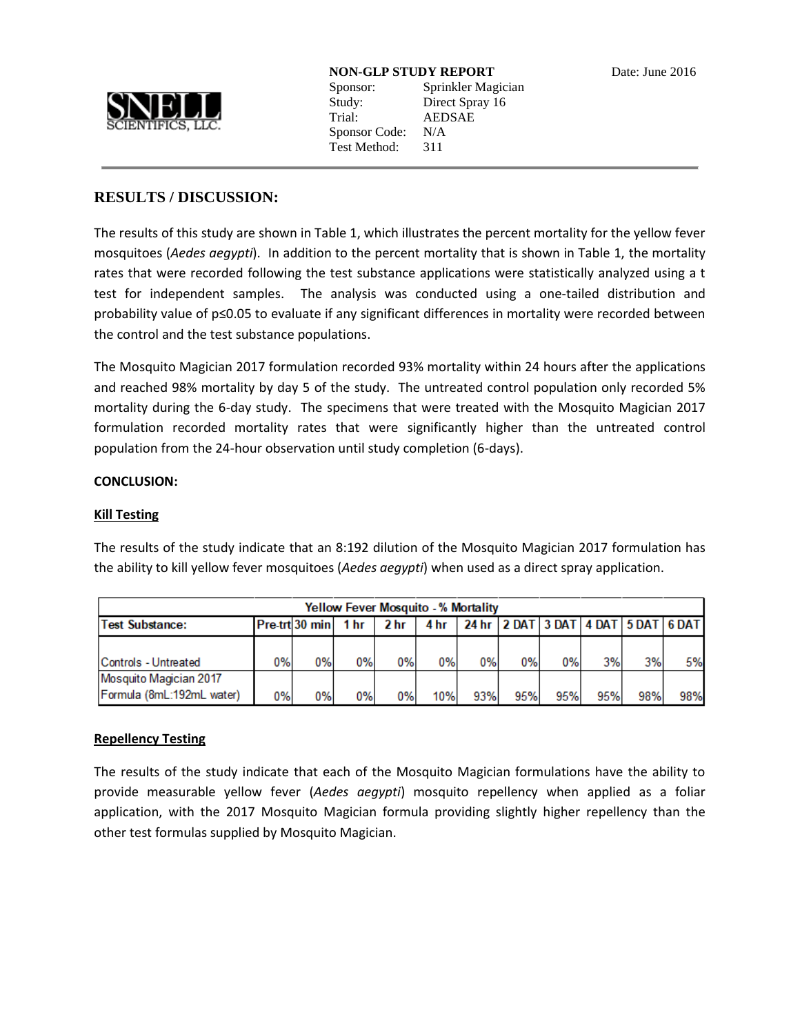

Sponsor: Sprinkler Magician Study: Direct Spray 16 Trial: AEDSAE Sponsor Code: N/A Test Method: 311

## **RESULTS / DISCUSSION:**

The results of this study are shown in Table 1, which illustrates the percent mortality for the yellow fever mosquitoes (*Aedes aegypti*). In addition to the percent mortality that is shown in Table 1, the mortality rates that were recorded following the test substance applications were statistically analyzed using a t test for independent samples. The analysis was conducted using a one-tailed distribution and probability value of p≤0.05 to evaluate if any significant differences in mortality were recorded between the control and the test substance populations.

The Mosquito Magician 2017 formulation recorded 93% mortality within 24 hours after the applications and reached 98% mortality by day 5 of the study. The untreated control population only recorded 5% mortality during the 6-day study. The specimens that were treated with the Mosquito Magician 2017 formulation recorded mortality rates that were significantly higher than the untreated control population from the 24-hour observation until study completion (6-days).

## **CONCLUSION:**

#### **Kill Testing**

The results of the study indicate that an 8:192 dilution of the Mosquito Magician 2017 formulation has the ability to kill yellow fever mosquitoes (*Aedes aegypti*) when used as a direct spray application.

| <b>Yellow Fever Mosquito - % Mortality</b> |    |                 |       |      |      |                                               |     |     |     |     |     |
|--------------------------------------------|----|-----------------|-------|------|------|-----------------------------------------------|-----|-----|-----|-----|-----|
| <b>Test Substance:</b>                     |    | Pre-trtl30 minl | 1 hr  | 2 hr | 4 hr | 24 hr   2 DAT   3 DAT   4 DAT   5 DAT   6 DAT |     |     |     |     |     |
|                                            |    |                 |       |      |      |                                               |     |     |     |     |     |
| Controls - Untreated                       | 0% | 0%              | 0%    | 0%   | 0%   | 0%                                            | 0%  | 0%  | 3%  | 3%  | 5%  |
| Mosquito Magician 2017                     |    |                 |       |      |      |                                               |     |     |     |     |     |
| Formula (8mL:192mL water)                  | 0% | 0%              | $0\%$ | 0%   | 10%  | 93%                                           | 95% | 95% | 95% | 98% | 98% |

## **Repellency Testing**

The results of the study indicate that each of the Mosquito Magician formulations have the ability to provide measurable yellow fever (*Aedes aegypti*) mosquito repellency when applied as a foliar application, with the 2017 Mosquito Magician formula providing slightly higher repellency than the other test formulas supplied by Mosquito Magician.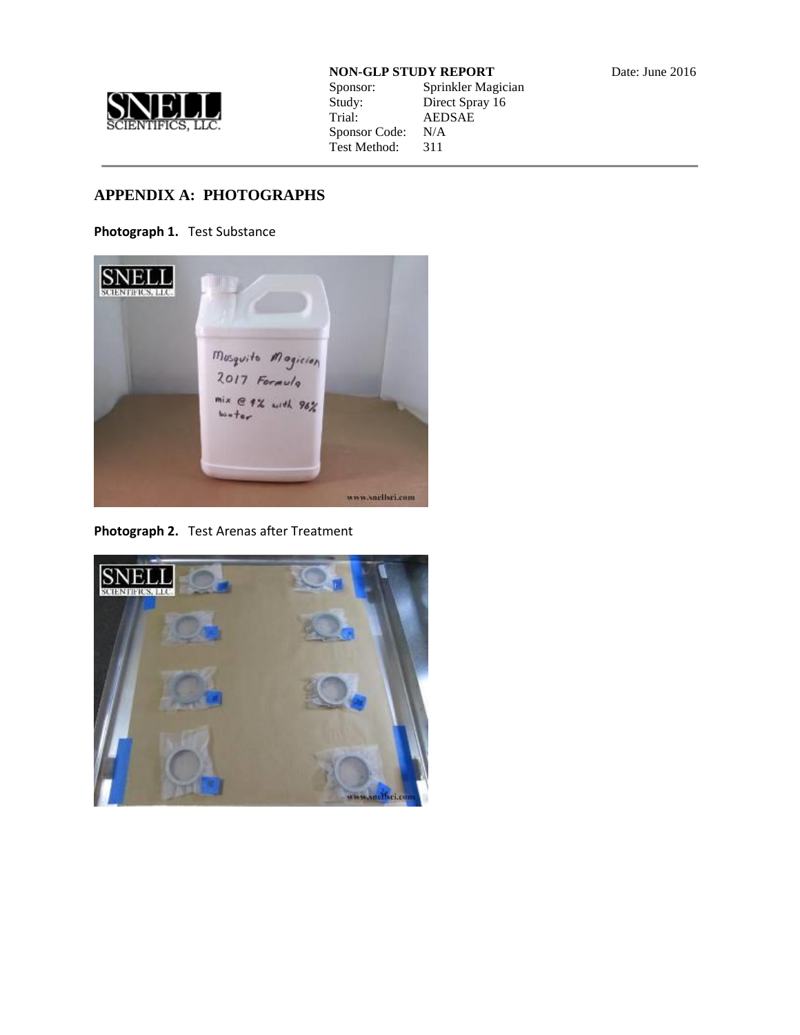

| Sponsor:      | Sprinkler Magician |
|---------------|--------------------|
| Study:        | Direct Spray 16    |
| Trial:        | <b>AEDSAE</b>      |
| Sponsor Code: | N/A                |
| Test Method:  | 311                |

# **APPENDIX A: PHOTOGRAPHS**

**Photograph 1.** Test Substance



**Photograph 2.** Test Arenas after Treatment

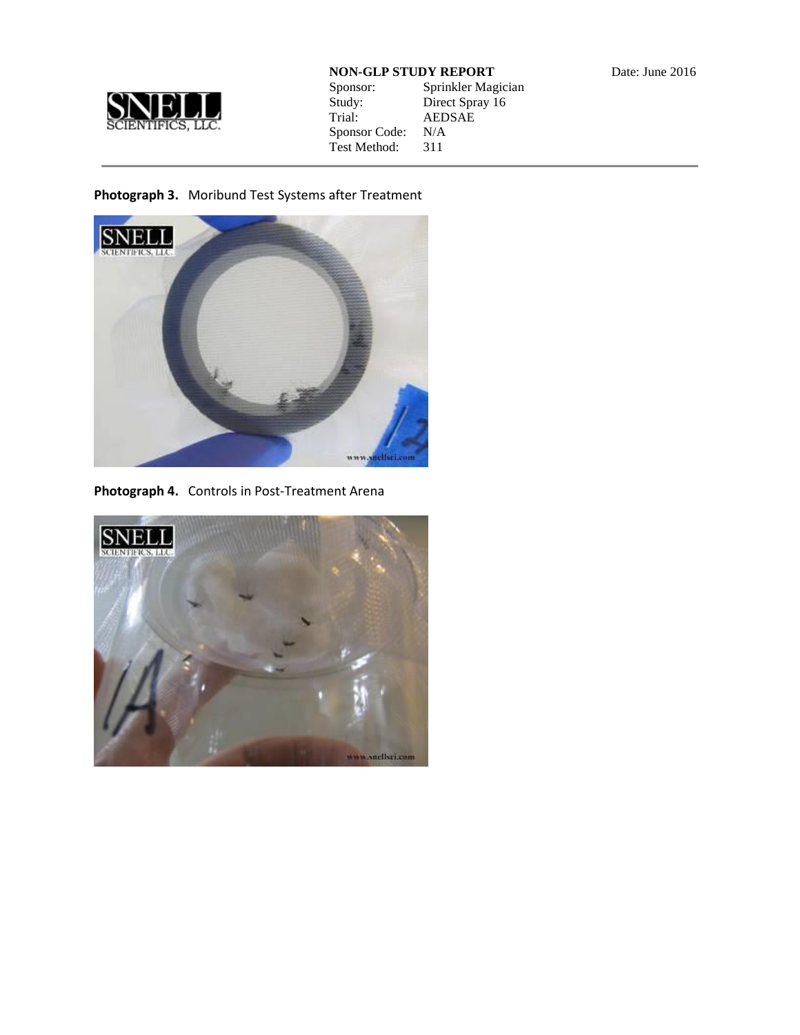

| Sponsor:      | Sprinkler Magician |
|---------------|--------------------|
| Study:        | Direct Spray 16    |
| Trial:        | <b>AEDSAE</b>      |
| Sponsor Code: | N/A                |
| Test Method:  | 311                |
|               |                    |

# **Photograph 3.** Moribund Test Systems after Treatment



**Photograph 4.** Controls in Post-Treatment Arena